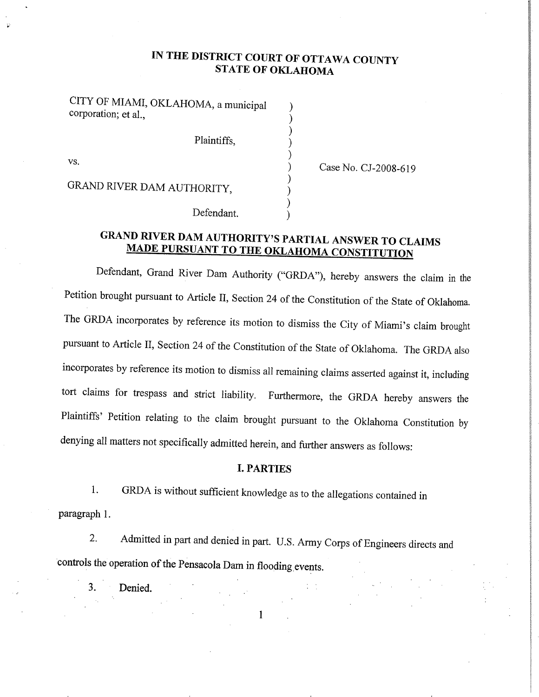# IN THE DISTRICT COURT OF OTTAWA COUNTY STATE OF OKLAHOMA

) ) ) ) )

) ) ) )

CITY OF MIAMI, OKLAHOMA, a municipal corporation; et al.,

Plaintiffs,

VS.

) Case No. CJ-2008-619

GRAND RIVER DAM AUTHORITY,

Defendant.

# GRAND RIVER DAM AUTHORITY'S PARTIAL ANSWER TO CLAIMS<br>MADE PURSUANT TO THE OKLAHOMA CONSTITUTION

Defendant, Grand River Dam Authority ("GRDA"), hereby answers the claim in the Petition brought pursuant to Article II, Section 24 of the Constitution of the State of oklahoma. The GRDA incorporates by reference its motion to dismiss the City of Miami's claim brought pursuant to Article II, Section 24 of the Constitution of the State of Oklahoma. The GRDA also incorporates by reference its motion to dismiss all remaining claims asserted against it, including tort claims for trespass and strict liability. Furthermore, the GRDA hereby answers the Plaintifß' Petition relating to the claim brought pursuant to the oklahoma constitution by denying all matters not specifically admitted herein, and further answers as follows:

#### I. PARTIES

1. GRDA is without sufficient knowledge as to the allegations contained in paragraph L

2. Admitted in part and denied in part. U.S. Army Corps of Engineers directs and controls the operation of the pensacola Dam in flooding events.

 $\mathbf{1}$ 

3. Denied.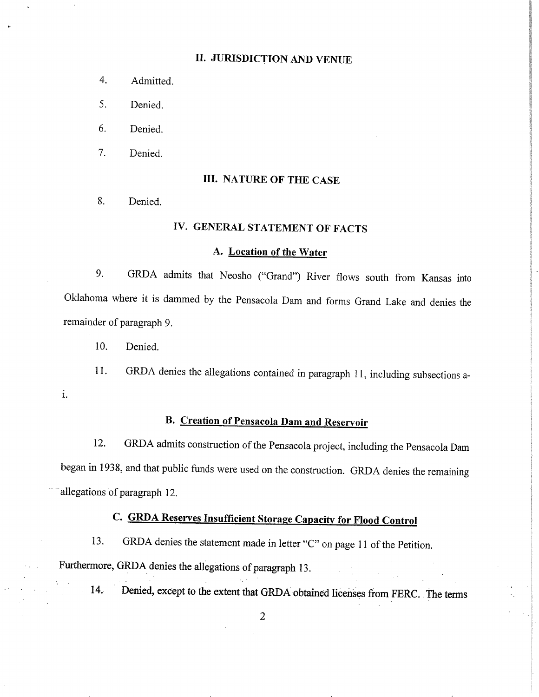### II. JURISDICTION AND VENUE

- 4. Admitted.
- 5. Denied.
- 6. Denied.
- 7. Denied.

#### III. NATURE OF THE CASE

8. Denied.

# IV. GENERAL STATEMENT OF FACTS

#### A. Location of the Water

9. GRDA admits that Neosho ("Grand") River flows south from Kansas into Oklahoma where it is dammed by the Pensacola Dam and forms Grand Lake and denies the remainder of paragraph 9.

10. Denied.

11. GRDA denies the allegations contained in paragraph 11, including subsections ai.

# B. Creation of Pensacola Dam and Reservoir

12. GRDA admits construction of the Pensacola project, including the pensacola Dam began in 1938, and that public funds were used on the construction. GRDA denies the remainins allegations of paragraph 12.

# C. GRDA Reserves Insufficient Storage Capacity for Flood Control

13. GRDA denies the statement made in letter "C" on page 11 of the Petition.

Furthermore, GRDA denies the allegations of paragraph 13.

14. Denied, except to the extent that GRDA obtained licenses from FERC. The terms

 $\overline{2}$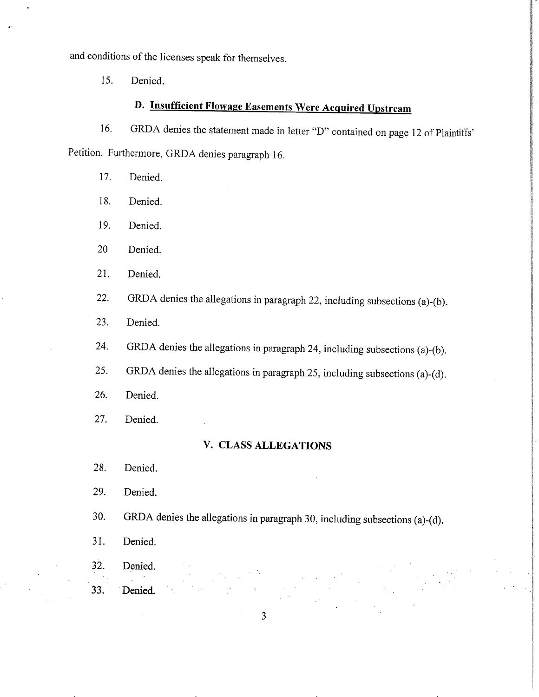and conditions of the licenses speak for themselves.

15. Denied.

# D. Insufficient Flowage Easements Were Acquired Upstream

16. GRDA denies the statement made in letter "D" contained on page 12 of Plaintiffs' Petition. Furthermore, GRDA denies paragraph 16.

- 17. Denied.
- 18. Denied.
- 19. Denied.
- 20 Denied.
- 21. Denied.
- 22. GRDA denies the allegations in paragraph 22, including subsections (a)-(b).
- 23. Denied.
- 24. GRDA denies the allegations in paragraph 24, including subsections (a)-(b).
- 25. GRDA denies the allegations in paragraph 25, including subsections (a)-(d).
- 26. Denied.
- 27. Denied.

#### V. CLASS ALLEGATIONS

- 28. Denied.
- 29. Denied.
- 30. GRDA denies the allegations in paragraph 30, including subsections (a)-(d).
- 31. Denied.
- 32. Denied.
- 33. Denied. :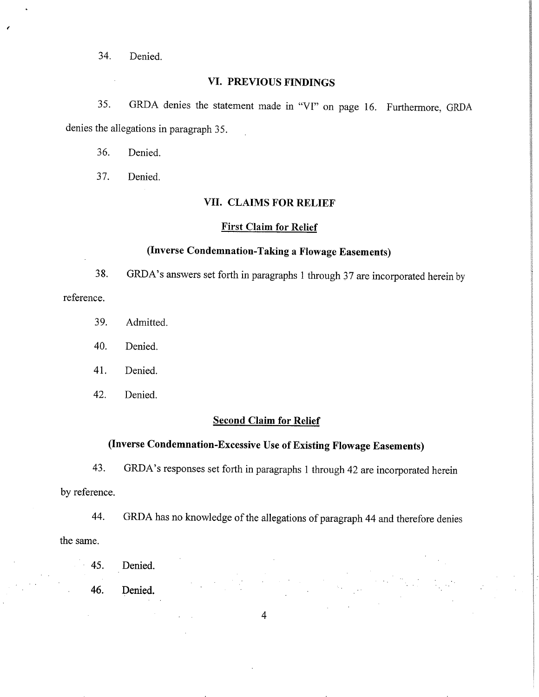34. Denied.

#### VI. PREVIOUS FINDINGS

35. GRDA denies the statement made in "VI" on page 16. Furthermore, GRDA denies the allegations in paragraph 35.

36. Denied.

37. Denied.

#### VII. CLAIMS FOR RELIEF

#### First Claim for Relief

#### (Inverse Condemnation-Taking a Flowage Easements)

38. GRDA's answers set forth in paragraphs 1 through 37 are incorporated herein by reference.

- 39. Admitted.
- 40. Denied.
- 4I. Denied.
- 42. Denied.

#### Second Claim for Relief

# (Inverse Condemnation-Excessive Use of Existing Flowage Easements)

43. GRDA's responses set forth in paragraphs I through 42 are incorporated herein by reference.

44. GRDA has no knowledge of the allegations of paragraph 44 and therefore denies the same.

- 45. Denied.
- 46. Denied.

 $\overline{4}$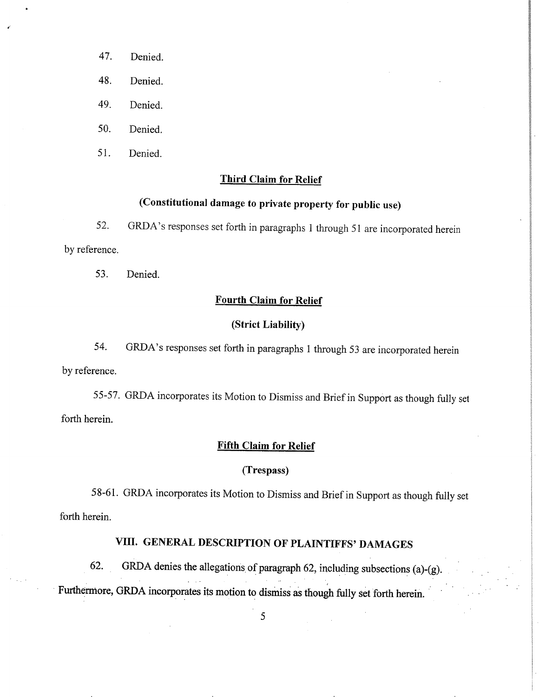- 47. Denied.
- 48. Denied.
- 49. Denied.
- 50. Denied.
- 5l. Denied.

#### Third Claim for Relief

# (constitutional damage to private properfy for public use)

52. GRDA's responses set forth in paragraphs I through 51 are incorporated herein by reference.

53. Denied.

#### Fourth Claim for Relief

#### (Strict Liability)

54. GRDA's responses set foth inparagraphs I through 53 are incorporated herein by reference.

55-57 - GRDA incorporates its Motion to Dismiss and Brief in Support as though fully set forth herein.

#### Fifth Claim for Relief

#### (Trespass)

58-61. GRDA incorporates its Motion to Dismiss and Brief in Support as though fully set forth herein.

# VIII. GENERAL DESCRIPTION OF PLAINTIFFS' DAMAGES

62. GRDA denies the allegations of paragraph 62, including subsections (a)-(g). Furthermore, GRDA incorporates its motion to dismiss as though fully set forth herein.

5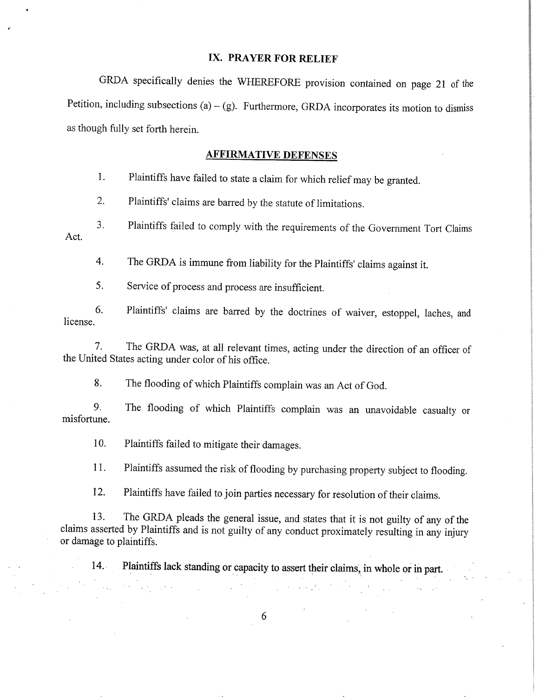#### IX. PRAYER FOR RELIEF

GRDA specifically denies the WHEREFORE provision contained on page 2l of the Petition, including subsections  $(a) - (g)$ . Furthermore, GRDA incorporates its motion to dismiss as though fully set forth herein.

#### AFFIRMATIVE DEFENSES

1. Plaintiffs have failed to state a claim for which relief may be granted.

2. Plaintiffs' claims are barred by the statute of limitations.

3. Plaintifß failed to comply with the requirements of the Government Tort Claims Act.

4. The GRDA is immune from liability for the Plaintiffs'claims against it.

5. Service of process and process are insufficient.

6. Plaintifß' claims are barred by the doctrines of waiver, estoppel, laches, and license.

7. The GRDA was, at all relevant times, acting under the direction of an officer of the United States acting under color of his office.

8. The flooding of which plaintiffs complain was an Act of God.

9. The flooding of which Plaintiffs complain was an unavoidable casualty or misfortune.

10. Plaintiffs failed to mitigate their damages.

 $\mathcal{L}_{\text{max}}$ 

11. Plaintiffs assumed the risk of flooding by purchasing property subject to flooding.

12. Plaintiffs have failed to join parties necessary for resolution of their claims.

13. The GRDA pleads the general issue, and states that it is not guilty of any of the claims asserted by Plaintiffs and is not guilty of any conduct proximately resulting in any injury or damage to plaintiffs.

14. Plaintiffs lack standing or capacity to assert their claims, in whole or in part.

 $\mathcal{L}_{\rm{max}}$ 

医反射 医外

6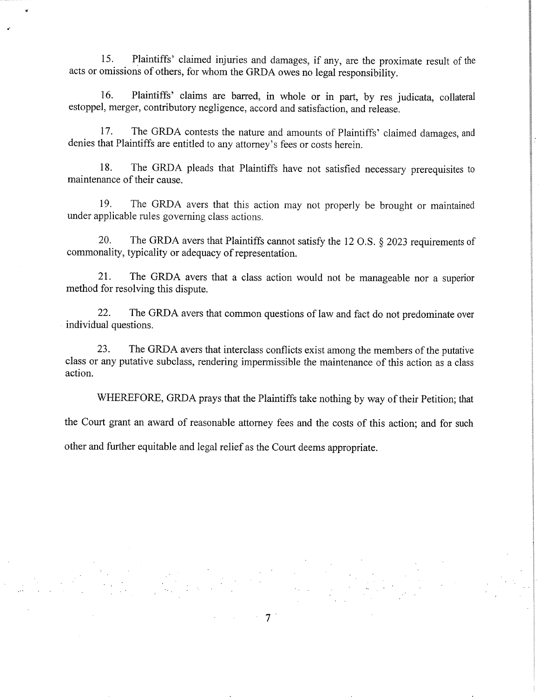15. Plaintiffs'claimed injuries and damages, if any, are the proximate result of the acts or omissions of others, for whom the GRDA owes no legal responsibility.

16. Plaintiffs' claims are barred, in whole or in part, by res judicata, collateral estoppel, merger, contributory negligence, accord and satisfaction, and release.

17. The GRDA contests the nature and amounts of Plaintifß' claimed damages, and denies that Plaintiffs are entitled to any attorney's fees or costs herein.

18. The GRDA pleads that Plaintiffs have not satisfied necessary prerequisites to maintenance of their cause.

19. The GRDA avers that this action may not properly be brought or maintained under applicable rules governing class actions.

20. The GRDA avers that Plaintifß cannot satisfy the 12 O.S. \$ 2023 requirements of commonality, typicality or adequacy of representation.

21. The GRDA avers that a class action would not be manageable nor a superior method for resolving this dispute.

22. The GRDA avers that common questions of law and fact do not predominate over individual questions.

23. The GRDA avers that interclass conflicts exist among the members of the putative class or any putative subclass, rendering impermissible the maintenance of this action as a class action.

WHEREFORE, GRDA prays that the Plaintiffs take nothing by way of their Petition; that

the Court grant an award of reasonable attorney fees and the costs of this action; and for such

other and further equitable and legal relief as the Court deems appropriate.